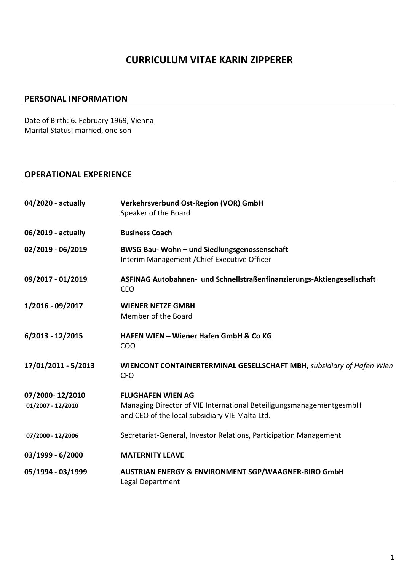# **CURRICULUM VITAE KARIN ZIPPERER**

#### **PERSONAL INFORMATION**

Date of Birth: 6. February 1969, Vienna Marital Status: married, one son

### **OPERATIONAL EXPERIENCE**

| 04/2020 - actually                   | Verkehrsverbund Ost-Region (VOR) GmbH<br>Speaker of the Board                                                                                     |
|--------------------------------------|---------------------------------------------------------------------------------------------------------------------------------------------------|
| 06/2019 - actually                   | <b>Business Coach</b>                                                                                                                             |
| 02/2019 - 06/2019                    | BWSG Bau- Wohn - und Siedlungsgenossenschaft<br>Interim Management / Chief Executive Officer                                                      |
| 09/2017 - 01/2019                    | ASFINAG Autobahnen- und Schnellstraßenfinanzierungs-Aktiengesellschaft<br><b>CEO</b>                                                              |
| 1/2016 - 09/2017                     | <b>WIENER NETZE GMBH</b><br>Member of the Board                                                                                                   |
| $6/2013 - 12/2015$                   | <b>HAFEN WIEN - Wiener Hafen GmbH &amp; Co KG</b><br><b>COO</b>                                                                                   |
| 17/01/2011 - 5/2013                  | WIENCONT CONTAINERTERMINAL GESELLSCHAFT MBH, subsidiary of Hafen Wien<br><b>CFO</b>                                                               |
| 07/2000-12/2010<br>01/2007 - 12/2010 | <b>FLUGHAFEN WIEN AG</b><br>Managing Director of VIE International BeteiligungsmanagementgesmbH<br>and CEO of the local subsidiary VIE Malta Ltd. |
| 07/2000 - 12/2006                    | Secretariat-General, Investor Relations, Participation Management                                                                                 |
| 03/1999 - 6/2000                     | <b>MATERNITY LEAVE</b>                                                                                                                            |
| 05/1994 - 03/1999                    | AUSTRIAN ENERGY & ENVIRONMENT SGP/WAAGNER-BIRO GmbH<br>Legal Department                                                                           |